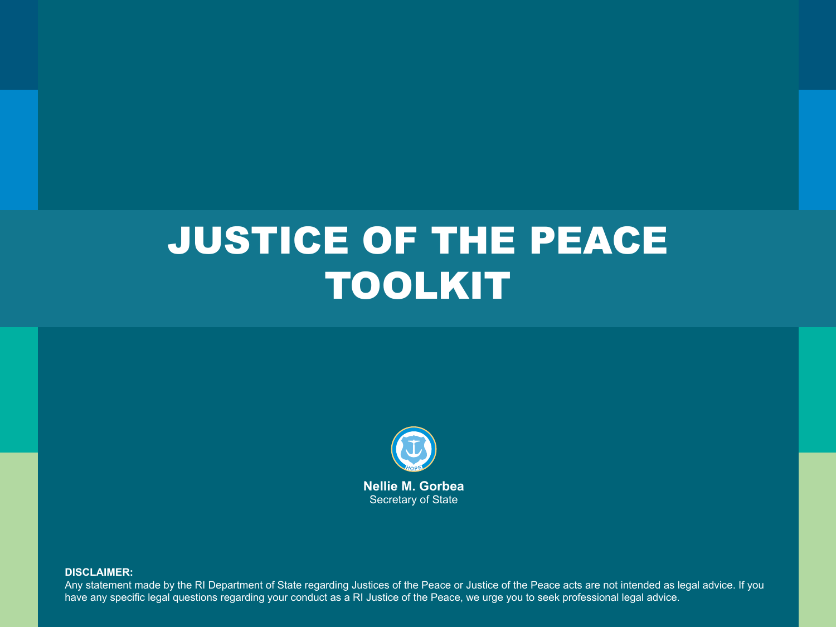### JUSTICE OF THE PEACE TOOLKIT



**DISCLAIMER:**

Any statement made by the RI Department of State regarding Justices of the Peace or Justice of the Peace acts are not intended as legal advice. If you have any specific legal questions regarding your conduct as a RI Justice of the Peace, we urge you to seek professional legal advice.

**1**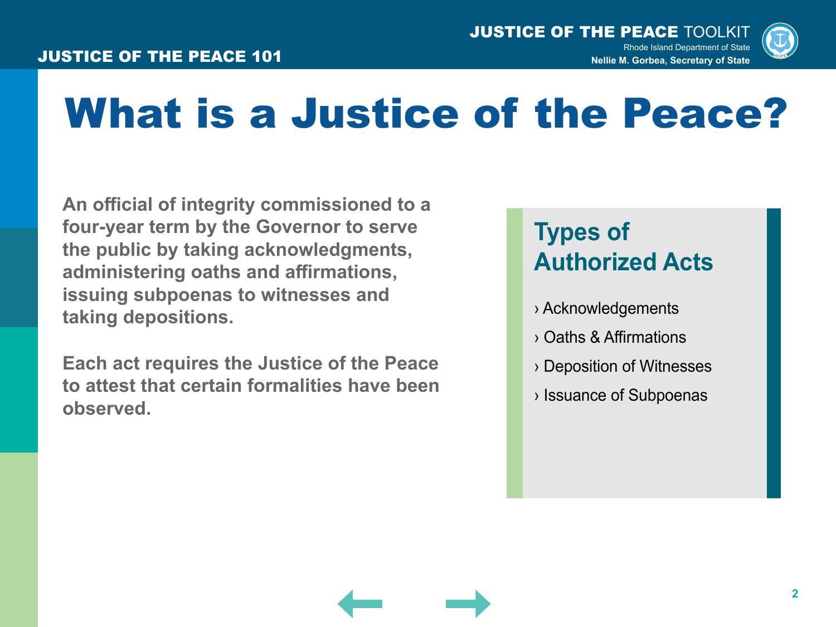

### What is a Justice of the Peace?

**An official of integrity commissioned to a four-year term by the Governor to serve the public by taking acknowledgments, administering oaths and affirmations, issuing subpoenas to witnesses and taking depositions.**

**Each act requires the Justice of the Peace to attest that certain formalities have been observed.**

### **Types of Authorized Acts**

- › Acknowledgements
- › Oaths & Affirmations
- › Deposition of Witnesses
- › Issuance of Subpoenas

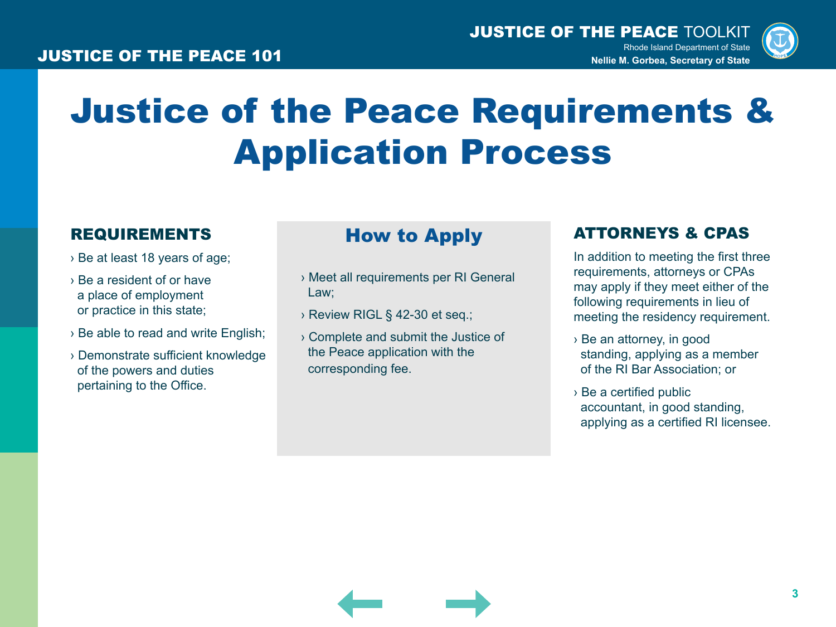

### Justice of the Peace Requirements & Application Process

#### REQUIREMENTS How to Apply

- › Be at least 18 years of age;
- › Be a resident of or have a place of employment or practice in this state;
- › Be able to read and write English;
- › Demonstrate sufficient knowledge of the powers and duties pertaining to the Office.

- › Meet all requirements per RI General Law;
- › Review RIGL § 42-30 et seq.;
- › Complete and submit the Justice of the Peace application with the corresponding fee.

#### ATTORNEYS & CPAS

In addition to meeting the first three requirements, attorneys or CPAs may apply if they meet either of the following requirements in lieu of meeting the residency requirement.

- › Be an attorney, in good standing, applying as a member of the RI Bar Association; or
- › Be a certified public accountant, in good standing, applying as a certified RI licensee.

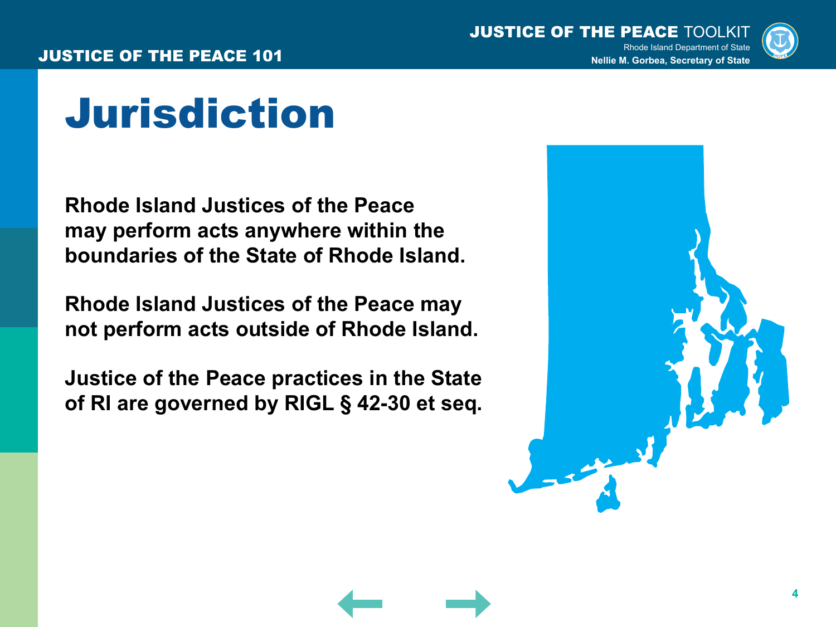

### Jurisdiction

**Rhode Island Justices of the Peace may perform acts anywhere within the boundaries of the State of Rhode Island.**

**Rhode Island Justices of the Peace may not perform acts outside of Rhode Island.**

**Justice of the Peace practices in the State of RI are governed by RIGL § 42-30 et seq.**

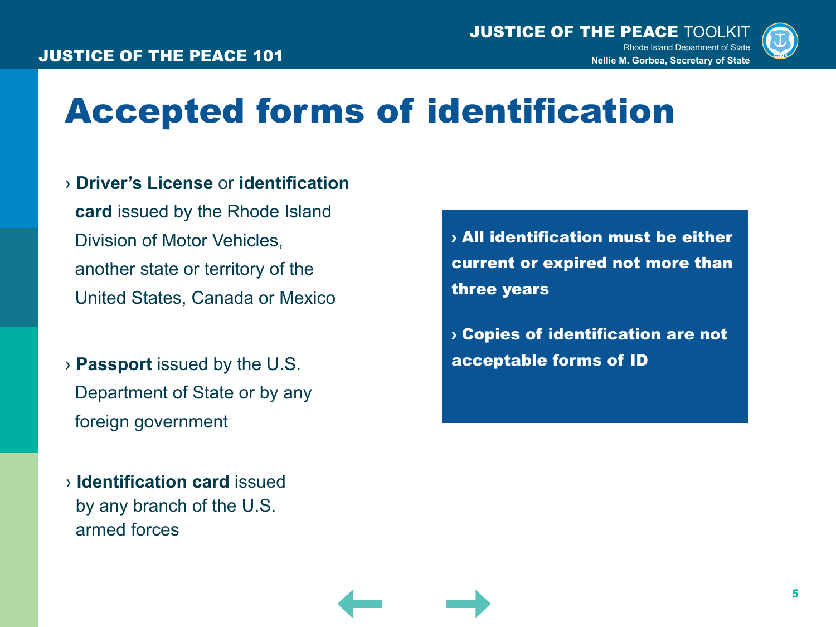

### Accepted forms of identification

### › **Driver's License** or **identification**

 **card** issued by the Rhode Island Division of Motor Vehicles, another state or territory of the United States, Canada or Mexico

› **Passport** issued by the U.S. Department of State or by any foreign government

› **Identification card** issued by any branch of the U.S. armed forces

› All identification must be either current or expired not more than three years

› Copies of identification are not acceptable forms of ID

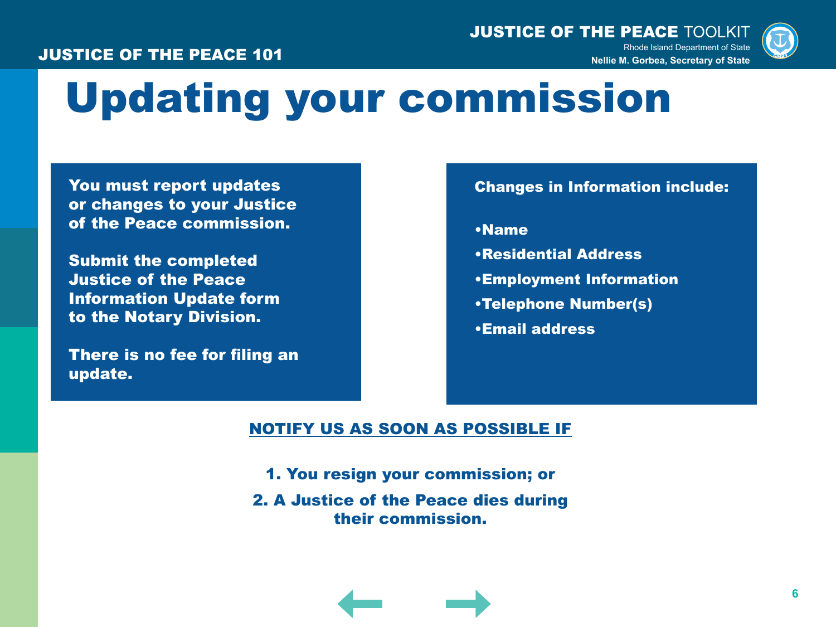#### JUSTICE OF THE PEACE 101



## Updating your commission

You must report updates or changes to your Justice of the Peace commission.

Submit the completed Justice of the Peace Information Update form to the Notary Division.

There is no fee for filing an update.

#### Changes in Information include:

•Name

- •Residential Address
- •Employment Information
- •Telephone Number(s)
- •Email address

#### NOTIFY US AS SOON AS POSSIBLE IF

- 1. You resign your commission; or
- 2. A Justice of the Peace dies during their commission.

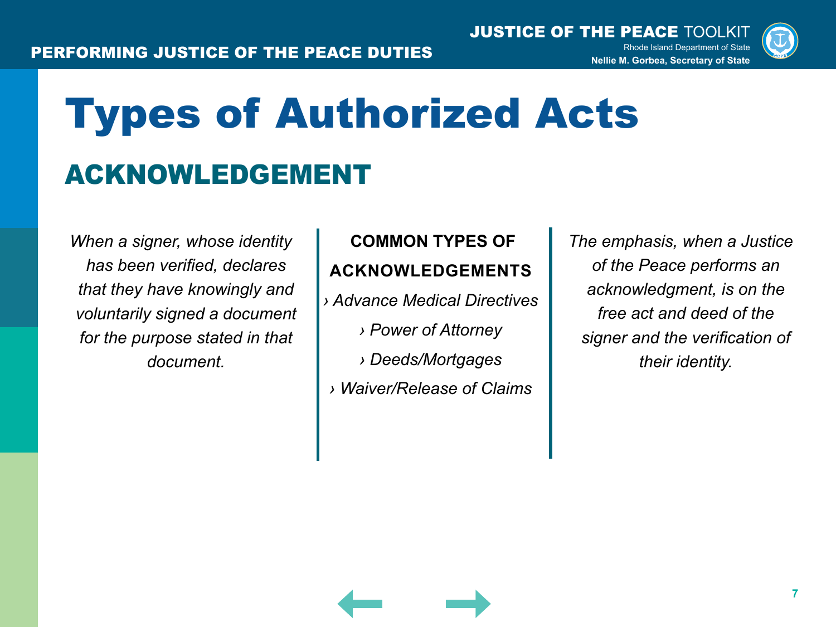

# Types of Authorized Acts ACKNOWLEDGEMENT

*When a signer, whose identity has been verified, declares that they have knowingly and voluntarily signed a document for the purpose stated in that document.*

### **COMMON TYPES OF ACKNOWLEDGEMENTS**

*› Advance Medical Directives › Power of Attorney › Deeds/Mortgages › Waiver/Release of Claims*

*The emphasis, when a Justice of the Peace performs an acknowledgment, is on the free act and deed of the signer and the verification of their identity.*

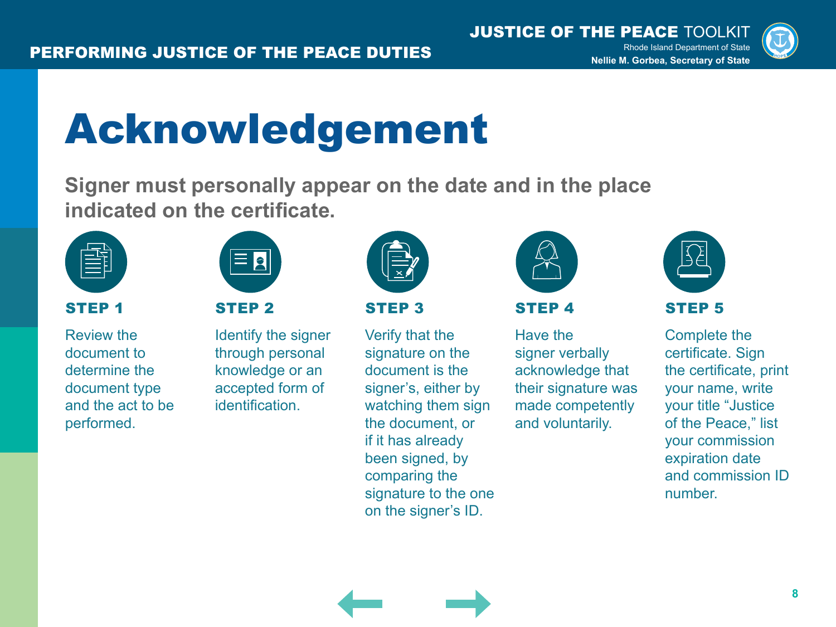

## Acknowledgement

**Signer must personally appear on the date and in the place indicated on the certificate.**



#### STEP 1

Review the document to determine the document type and the act to be performed.



#### STEP 2

Identify the signer through personal knowledge or an accepted form of identification.



#### STEP 3

Verify that the signature on the document is the signer's, either by watching them sign the document, or if it has already been signed, by comparing the signature to the one on the signer's ID.



#### STEP 4

Have the signer verbally acknowledge that their signature was made competently and voluntarily.



Complete the certificate. Sign the certificate, print your name, write your title "Justice of the Peace," list your commission expiration date and commission ID number.

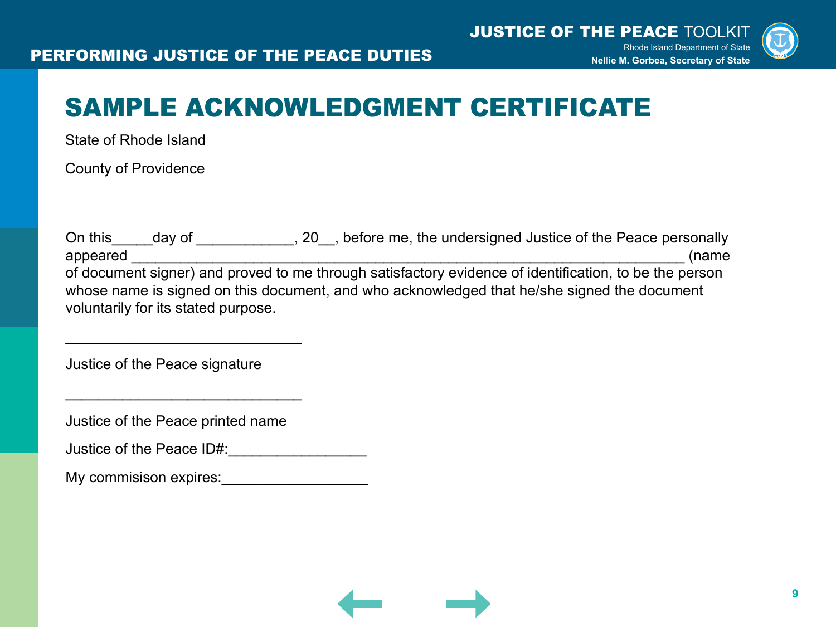

### SAMPLE ACKNOWLEDGMENT CERTIFICATE

State of Rhode Island

County of Providence

On this \_\_\_\_\_day of \_\_\_\_\_\_\_\_\_\_\_, 20\_, before me, the undersigned Justice of the Peace personally appeared the contract of the contract of the contract of the contract of the contract of the contract of the contract of the contract of the contract of the contract of the contract of the contract of the contract of the c of document signer) and proved to me through satisfactory evidence of identification, to be the person whose name is signed on this document, and who acknowledged that he/she signed the document voluntarily for its stated purpose.

Justice of the Peace signature

Justice of the Peace printed name

\_\_\_\_\_\_\_\_\_\_\_\_\_\_\_\_\_\_\_\_\_\_\_\_\_\_\_\_\_

\_\_\_\_\_\_\_\_\_\_\_\_\_\_\_\_\_\_\_\_\_\_\_\_\_\_\_\_\_

| Justice of the Peace ID#: |  |  |
|---------------------------|--|--|
|                           |  |  |

My commisison expires:

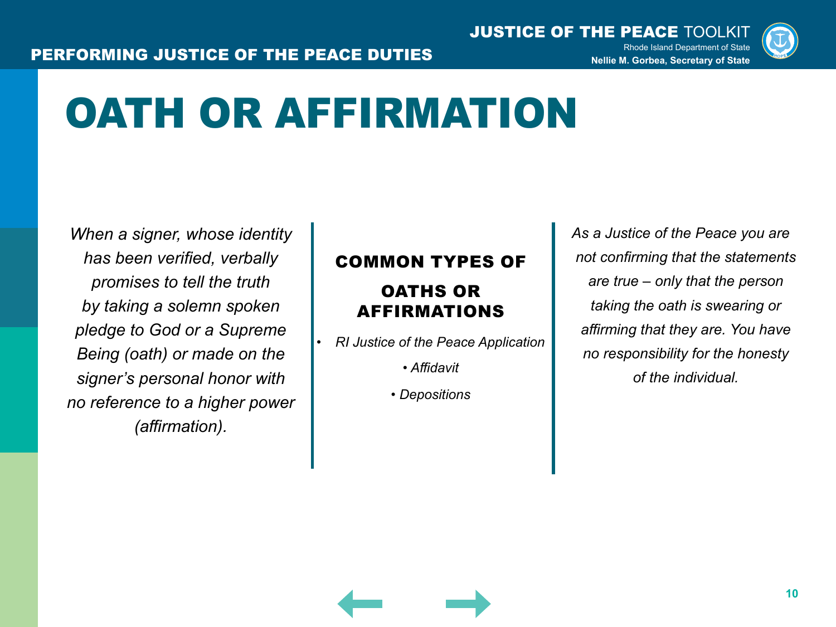

## OATH OR AFFIRMATION

*When a signer, whose identity has been verified, verbally promises to tell the truth by taking a solemn spoken pledge to God or a Supreme Being (oath) or made on the signer's personal honor with no reference to a higher power (affirmation).*

#### COMMON TYPES OF

### OATHS OR AFFIRMATIONS

*• RI Justice of the Peace Application*

*• Affidavit*

*• Depositions*

*As a Justice of the Peace you are not confirming that the statements are true – only that the person taking the oath is swearing or affirming that they are. You have no responsibility for the honesty of the individual.*

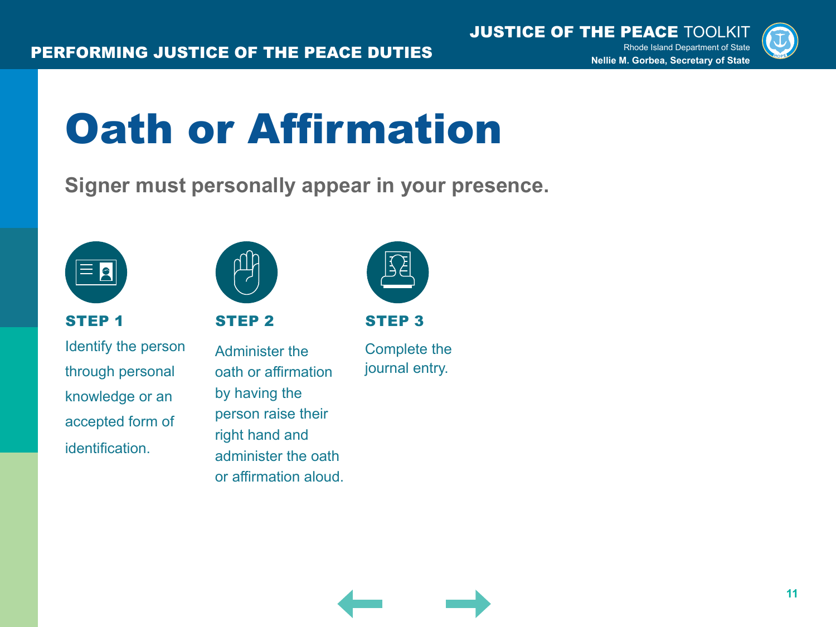

## Oath or Affirmation

**Signer must personally appear in your presence.**



STEP 1

Identify the person through personal knowledge or an accepted form of identification.



STEP 2

Administer the oath or affirmation by having the person raise their right hand and administer the oath or affirmation aloud.



STEP 3

Complete the journal entry.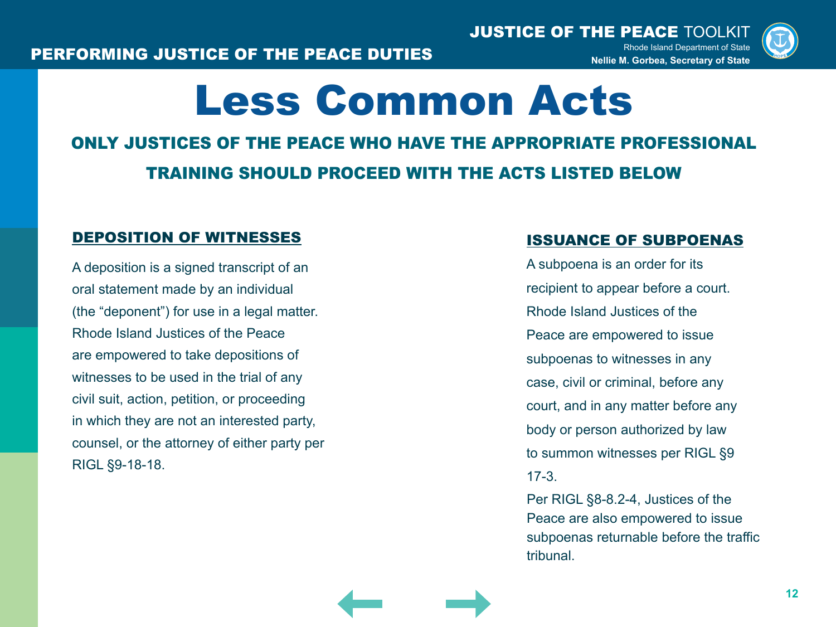

### Less Common Acts

### ONLY JUSTICES OF THE PEACE WHO HAVE THE APPROPRIATE PROFESSIONAL TRAINING SHOULD PROCEED WITH THE ACTS LISTED BELOW

#### DEPOSITION OF WITNESSES

A deposition is a signed transcript of an oral statement made by an individual (the "deponent") for use in a legal matter. Rhode Island Justices of the Peace are empowered to take depositions of witnesses to be used in the trial of any civil suit, action, petition, or proceeding in which they are not an interested party, counsel, or the attorney of either party per RIGL §9-18-18.

#### ISSUANCE OF SUBPOENAS

A subpoena is an order for its recipient to appear before a court. Rhode Island Justices of the Peace are empowered to issue subpoenas to witnesses in any case, civil or criminal, before any court, and in any matter before any body or person authorized by law to summon witnesses per RIGL §9 17-3.

Per RIGL §8-8.2-4, Justices of the Peace are also empowered to issue subpoenas returnable before the traffic tribunal.

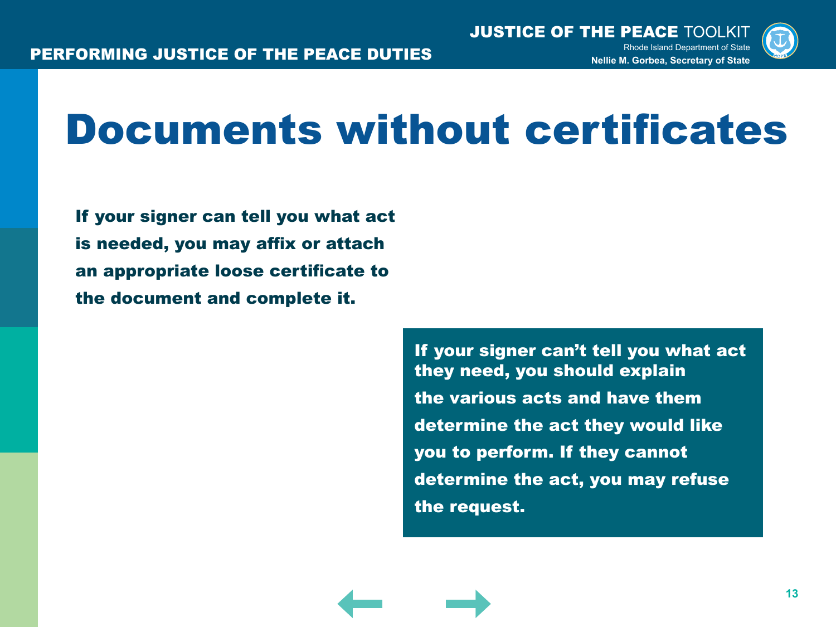

## Documents without certificates

If your signer can tell you what act is needed, you may affix or attach an appropriate loose certificate to the document and complete it.

> If your signer can't tell you what act they need, you should explain the various acts and have them determine the act they would like you to perform. If they cannot determine the act, you may refuse the request.

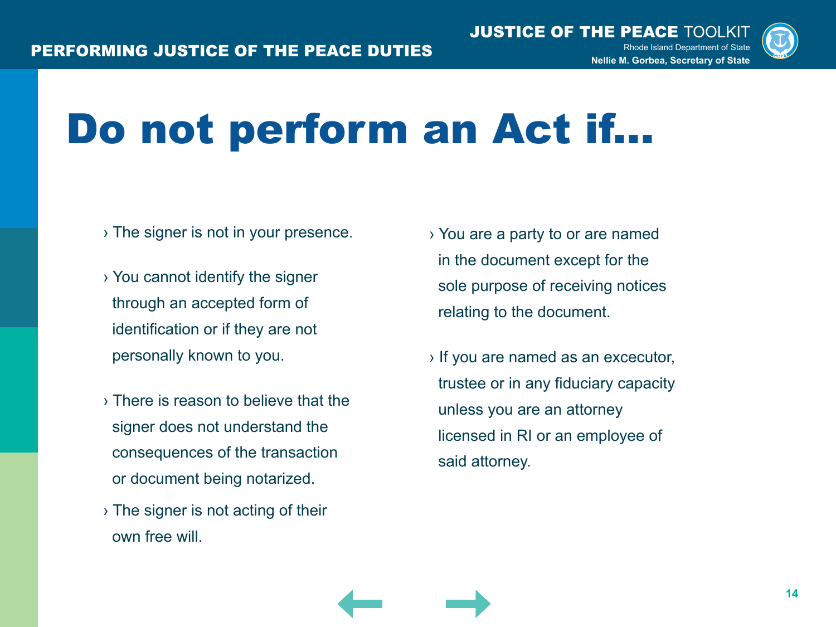

## Do not perform an Act if...

- › The signer is not in your presence.
- › You cannot identify the signer through an accepted form of identification or if they are not personally known to you.
- › There is reason to believe that the signer does not understand the consequences of the transaction or document being notarized.
- › The signer is not acting of their own free will.
- › You are a party to or are named in the document except for the sole purpose of receiving notices relating to the document.
- › If you are named as an excecutor, trustee or in any fiduciary capacity unless you are an attorney licensed in RI or an employee of said attorney.